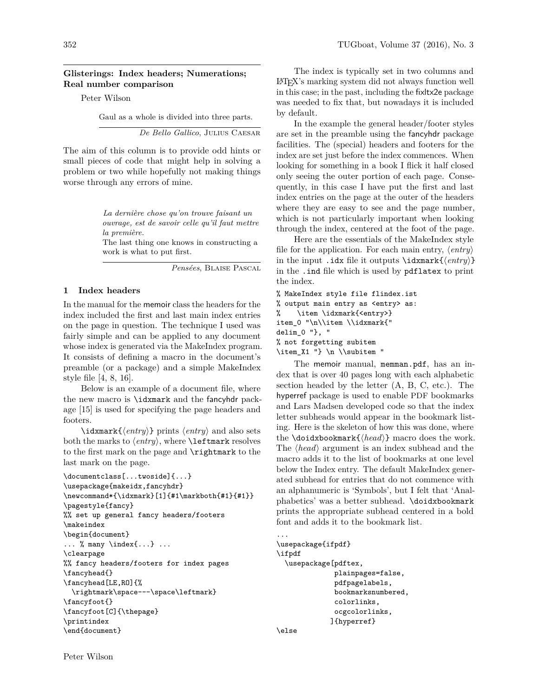## **Glisterings: Index headers; Numerations; Real number comparison**

Peter Wilson

Gaul as a whole is divided into three parts.

*De Bello Gallico*, Julius Caesar

The aim of this column is to provide odd hints or small pieces of code that might help in solving a problem or two while hopefully not making things worse through any errors of mine.

> *La dernière chose qu'on trouve faisant un ouvrage, est de savoir celle qu'il faut mettre la première.*

> The last thing one knows in constructing a work is what to put first.

> > *Pensées*, Blaise Pascal

## **1 Index headers**

In the manual for the memoir class the headers for the index included the first and last main index entries on the page in question. The technique I used was fairly simple and can be applied to any document whose index is generated via the MakeIndex program. It consists of defining a macro in the document's preamble (or a package) and a simple MakeIndex style file [4, 8, 16].

Below is an example of a document file, where the new macro is \idxmark and the fancyhdr package [15] is used for specifying the page headers and footers.

 $\langle entry \rangle$  prints  $\langle entry \rangle$  and also sets both the marks to  $\langle entry \rangle$ , where **\leftmark** resolves to the first mark on the page and \rightmark to the last mark on the page.

```
\documentclass[...twoside]{...}
\usepackage{makeidx,fancyhdr}
\newcommand*{\idxmark}[1]{#1\markboth{#1}{#1}}
\pagestyle{fancy}
%% set up general fancy headers/footers
\makeindex
\begin{document}
\ldots % many \index{\ldots} ...
\clearpage
%% fancy headers/footers for index pages
\fancyhead{}
\fancyhead[LE,RO]{%
  \rightmark\space---\space\leftmark}
\fancyfoot{}
\fancyfoot[C]{\thepage}
\printindex
\end{document}
```
The index is typically set in two columns and LATEX's marking system did not always function well in this case; in the past, including the fixltx2e package was needed to fix that, but nowadays it is included by default.

In the example the general header/footer styles are set in the preamble using the fancyhdr package facilities. The (special) headers and footers for the index are set just before the index commences. When looking for something in a book I flick it half closed only seeing the outer portion of each page. Consequently, in this case I have put the first and last index entries on the page at the outer of the headers where they are easy to see and the page number, which is not particularly important when looking through the index, centered at the foot of the page.

Here are the essentials of the MakeIndex style file for the application. For each main entry,  $\langle entry \rangle$ in the input .idx file it outputs  $\idxmark{\entry}$ in the .ind file which is used by pdflatex to print the index.

```
% MakeIndex style file flindex.ist
% output main entry as <entry> as:
% \item \idxmark{<entry>}
item_0 "\n\\item \\idxmark{"
delim_0 "}, "
% not forgetting subitem
\item_X1 "} \n \\subitem "
```
The memoir manual, memman.pdf, has an index that is over 40 pages long with each alphabetic section headed by the letter (A, B, C, etc.). The hyperref package is used to enable PDF bookmarks and Lars Madsen developed code so that the index letter subheads would appear in the bookmark listing. Here is the skeleton of how this was done, where the **\doidxbookmark** $\{ \langle head \rangle \}$  macro does the work. The  $\langle head \rangle$  argument is an index subhead and the macro adds it to the list of bookmarks at one level below the Index entry. The default MakeIndex generated subhead for entries that do not commence with an alphanumeric is 'Symbols', but I felt that 'Analphabetics' was a better subhead. \doidxbookmark prints the appropriate subhead centered in a bold font and adds it to the bookmark list.

```
...
\usepackage{ifpdf}
\ifpdf
  \usepackage[pdftex,
              plainpages=false,
              pdfpagelabels,
              bookmarksnumbered,
              colorlinks,
              ocgcolorlinks,
             ]{hyperref}
\else
```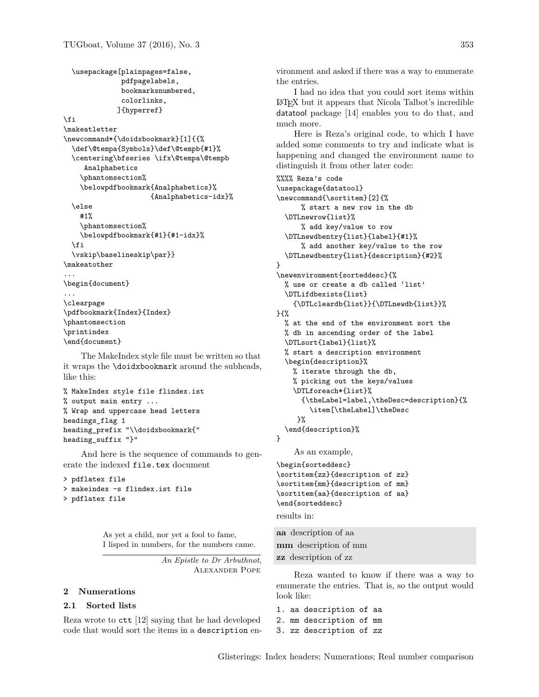```
\usepackage[plainpages=false,
               pdfpagelabels,
               bookmarksnumbered,
               colorlinks,
              ]{hyperref}
\left\{ \frac{f}{f} \right\}\makeatletter
\newcommand*{\doidxbookmark}[1]{{%
  \def\@tempa{Symbols}\def\@tempb{#1}%
  \centering\bfseries \ifx\@tempa\@tempb
     Analphabetics
    \phantomsection%
    \belowpdfbookmark{Analphabetics}%
                      {Analphabetics-idx}%
  \else
    #1%
    \phantomsection%
    \belowpdfbookmark{#1}{#1-idx}%
  \fi
  \vskip\baselineskip\par}}
\makeatother
...
\begin{document}
...
\clearpage
\pdfbookmark{Index}{Index}
\phantomsection
\printindex
\end{document}
```
The MakeIndex style file must be written so that it wraps the \doidxbookmark around the subheads, like this:

```
% MakeIndex style file flindex.ist
% output main entry ...
% Wrap and uppercase head letters
headings_flag 1
heading_prefix "\\doidxbookmark{"
heading_suffix "}"
```
And here is the sequence of commands to generate the indexed file.tex document

```
> pdflatex file
> makeindex -s flindex.ist file
> pdflatex file
```
As yet a child, nor yet a fool to fame, I lisped in numbers, for the numbers came.

> *An Epistle to Dr Arbuthnot*, Alexander Pope

## **2 Numerations**

### **2.1 Sorted lists**

Reza wrote to ctt [12] saying that he had developed code that would sort the items in a description environment and asked if there was a way to enumerate the entries.

I had no idea that you could sort items within LATEX but it appears that Nicola Talbot's incredible datatool package [14] enables you to do that, and much more.

Here is Reza's original code, to which I have added some comments to try and indicate what is happening and changed the environment name to distinguish it from other later code:

```
%%%% Reza's code
\usepackage{datatool}
\newcommand{\sortitem}[2]{%
      % start a new row in the db
  \DTLnewrow{list}%
      % add key/value to row
  \DTLnewdbentry{list}{label}{#1}%
      % add another key/value to the row
  \DTLnewdbentry{list}{description}{#2}%
}
\newenvironment{sorteddesc}{%
  % use or create a db called 'list'
  \DTLifdbexists{list}
    {\DTLcleardb{list}}{\DTLnewdb{list}}%
}{%
  % at the end of the environment sort the
  % db in ascending order of the label
  \DTLsort{label}{list}%
  % start a description environment
  \begin{description}%
    % iterate through the db,
    % picking out the keys/values
    \DTLforeach*{list}%
      {\theLabel=label,\theDesc=description}{%
        \item[\theLabel]\theDesc
     }%
  \end{description}%
}
    As an example,
\begin{sorteddesc}
\sortitem{zz}{description of zz}
\sortitem{mm}{description of mm}
\sortitem{aa}{description of aa}
\end{sorteddesc}
results in:
aa description of aa
mm description of mm
```
**zz** description of zz Reza wanted to know if there was a way to

enumerate the entries. That is, so the output would look like:

1. aa description of aa 2. mm description of mm 3. zz description of zz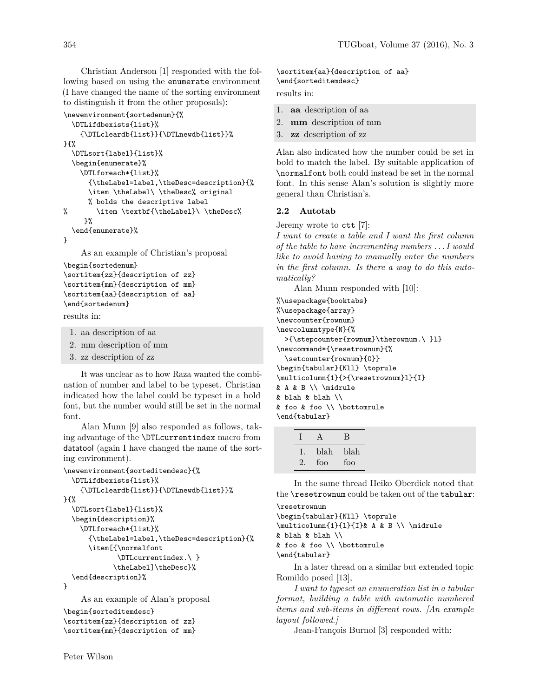Christian Anderson [1] responded with the following based on using the enumerate environment (I have changed the name of the sorting environment to distinguish it from the other proposals):

```
\newenvironment{sortedenum}{%
  \DTLifdbexists{list}%
    {\DTLcleardb{list}}{\DTLnewdb{list}}%
}{%
  \DTLsort{label}{list}%
  \begin{enumerate}%
    \DTLforeach*{list}%
      {\theLabel=label,\theDesc=description}{%
      \item \theLabel\ \theDesc% original
     % bolds the descriptive label
% \item \textbf{\theLabel}\ \theDesc%
    }%
  \end{enumerate}%
}
    As an example of Christian's proposal
```
\begin{sortedenum} \sortitem{zz}{description of zz} \sortitem{mm}{description of mm} \sortitem{aa}{description of aa} \end{sortedenum}

results in:

- 1. aa description of aa
- 2. mm description of mm
- 3. zz description of zz

It was unclear as to how Raza wanted the combination of number and label to be typeset. Christian indicated how the label could be typeset in a bold font, but the number would still be set in the normal font.

Alan Munn [9] also responded as follows, taking advantage of the \DTLcurrentindex macro from datatool (again I have changed the name of the sorting environment).

```
\newenvironment{sorteditemdesc}{%
  \DTLifdbexists{list}%
    {\DTLcleardb{list}}{\DTLnewdb{list}}%
}{%
  \DTLsort{label}{list}%
  \begin{description}%
    \DTLforeach*{list}%
      {\theLabel=label,\theDesc=description}{%
      \item[{\normalfont
             \DTLcurrentindex.\ }
            \theLabel]\theDesc}%
  \end{description}%
}
    As an example of Alan's proposal
\begin{sorteditemdesc}
```

```
\sortitem{zz}{description of zz}
\sortitem{mm}{description of mm}
```
# \sortitem{aa}{description of aa} \end{sorteditemdesc}

results in:

- 1. **aa** description of aa
- 2. **mm** description of mm
- 3. **zz** description of zz

Alan also indicated how the number could be set in bold to match the label. By suitable application of \normalfont both could instead be set in the normal font. In this sense Alan's solution is slightly more general than Christian's.

### **2.2 Autotab**

Jeremy wrote to ctt [7]:

*I want to create a table and I want the first column of the table to have incrementing numbers . . . I would like to avoid having to manually enter the numbers in the first column. Is there a way to do this automatically?*

Alan Munn responded with [10]:

%\usepackage{booktabs} %\usepackage{array} \newcounter{rownum} \newcolumntype{N}{% >{\stepcounter{rownum}\therownum.\ }l} \newcommand\*{\resetrownum}{% \setcounter{rownum}{0}} \begin{tabular}{Nll} \toprule \multicolumn{1}{>{\resetrownum}l}{I} & A & B \\ \midrule & blah & blah \\ & foo & foo \\ \bottomrule \end{tabular}

| $\begin{array}{ccc}\nI & A\n\end{array}$ |              | B |
|------------------------------------------|--------------|---|
|                                          | 1. blah blah |   |
|                                          | 2. foo foo   |   |

In the same thread Heiko Oberdiek noted that the \resetrownum could be taken out of the tabular: \resetrownum

```
\begin{tabular}{Nll} \toprule
\multicolumn{1}{l}{I}& A & B \\ \midrule
& blah & blah \\
& foo & foo \\ \bottomrule
\end{tabular}
```
In a later thread on a similar but extended topic Romildo posed [13],

*I want to typeset an enumeration list in a tabular format, building a table with automatic numbered items and sub-items in different rows. [An example layout followed.]*

Jean-François Burnol [3] responded with: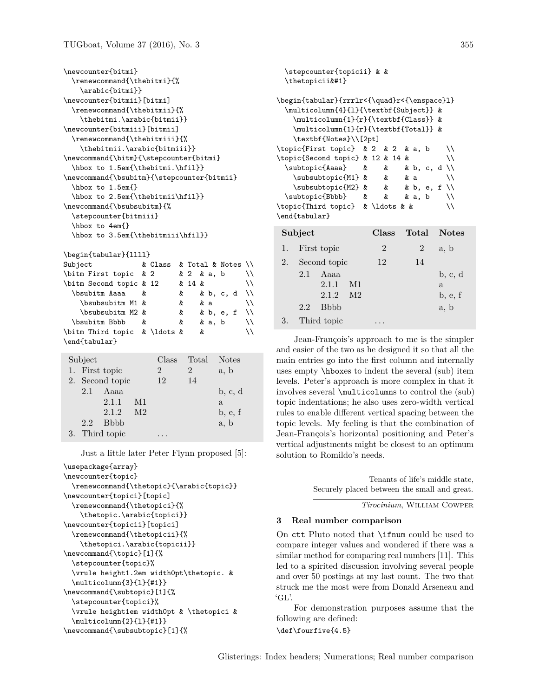```
\newcounter{bitmi}
   \renewcommand{\thebitmi}{%
      \arabic{bitmi}}
\newcounter{bitmii}[bitmi]
   \renewcommand{\thebitmii}{%
      \thebitmi.\arabic{bitmii}}
\newcounter{bitmiii}[bitmii]
   \renewcommand{\thebitmiii}{%
      \thebitmii.\arabic{bitmiii}}
\newcommand{\bitm}{\stepcounter{bitmi}
   \hbox to 1.5em{\thebitmi.\hfil}}
\newcommand{\bsubitm}{\stepcounter{bitmii}
   \hbox to 1.5em{}
   \hbox to 2.5em{\thebitmii\hfil}}
\newcommand{\bsubsubitm}{%
   \stepcounter{bitmiii}
   \hbox to 4em{}
   \hbox to 3.5em{\thebitmiii\hfil}}
\begin{tabular}{llll}
Subject \& Class \& Total \& Notes \\
\bitm First topic & 2 k 2 & a, b \\
\begin{bmatrix} \begin{array}{ccc} \text{obitm Second topic & 12} \end{array} & 14 & \end{bmatrix}\begin{array}{ccc}\n\end{array} \begin{array}{ccc}\n\end{array} \begin{array}{ccc}\n\end{array} \begin{array}{ccc}\n\end{array}\b{b}subsubitm M1 & & & a \setminus\begin{array}{ccc}\n\end{array} \begin{array}{ccc}\n\end{array} \begin{array}{ccc}\n\end{array} \begin{array}{ccc}\n\end{array} \begin{array}{ccc}\n\end{array} \begin{array}{ccc}\n\end{array} \begin{array}{ccc}\n\end{array} \begin{array}{ccc}\n\end{array} \begin{array}{ccc}\n\end{array} \begin{array}{ccc}\n\end{array} \begin{array}{ccc}\n\end{array} \begin{array}{ccc}\n\end{array} \begin{array}{ccc}\n\end{array} \begin{array}{ccc}\n\end{array\begin{array}{ccc}\n\end{array} bsubitm Bbbb & & & a, b \setminus\begin{bmatrix} \phi & \phi & \phi \end{bmatrix}\end{tabular}
```

| Subject |                |                 |                | Class | Total | <b>Notes</b> |
|---------|----------------|-----------------|----------------|-------|-------|--------------|
|         |                | 1. First topic  |                | 2     | 2     | a, b         |
|         |                | 2. Second topic |                | 12    | 14    |              |
|         | 2.1            | Aaaa            |                |       |       | b, c, d      |
|         |                | 2.1.1           | M1             |       |       | a            |
|         |                | 2.1.2           | M <sub>2</sub> |       |       | b, e, f      |
|         | 2.2            | <b>B</b> bbb    |                |       |       | a, b         |
|         | 3. Third topic |                 |                |       |       |              |

Just a little later Peter Flynn proposed [5]:

```
\usepackage{array}
\newcounter{topic}
 \renewcommand{\thetopic}{\arabic{topic}}
\newcounter{topici}[topic]
  \renewcommand{\thetopici}{%
    \thetopic.\arabic{topici}}
\newcounter{topicii}[topici]
  \renewcommand{\thetopicii}{%
    \thetopici.\arabic{topicii}}
\newcommand{\topic}[1]{%
 \stepcounter{topic}%
 \vrule height1.2em width0pt\thetopic. &
 \multicolumn{3}{l}{#1}}
\newcommand{\subtopic}[1]{%
  \stepcounter{topici}%
 \vrule height1em width0pt & \thetopici &
 \multicolumn{2}{l}{#1}}
\newcommand{\subsubtopic}[1]{%
```

```
\stepcounter{topicii} & &
 \thetopicii&#1}
\begin{tabular}{rrrlr<{\quad}r<{\enspace}l}
 \multicolumn{4}{l}{\textbf{Subject}} &
   \multicolumn{1}{r}{\textbf{Class}} &
   \multicolumn{1}{r}{\textbf{Total}} &
   \textbf{Notes}\\[2pt]
\topic{First topic} & 2 & 2 & a, b \\
\topic{Second topic} & 12 & 14 & \\
 \subtopic{Aaaa} & & & b, c, d \\
   \subsubtopic{M1} & & & a \\
   \sub{M2} & & b, e, f \\
 \subtopic{Bbbb} & & & a, b \\
\topic{Third topic} & \ldots & & \\
\end{tabular}
Subject Class Total Notes
1. First topic 2 \t 2 \t a, b2. Second topic 12 14
    2.1 Aaaa b, c, d
        2.1.1 \quad \text{M1} \qquad \qquad \text{a}2.1.2 M2 b, e, f
    2.2 Bbbb a, b
```
Jean-François's approach to me is the simpler and easier of the two as he designed it so that all the main entries go into the first column and internally uses empty \hboxes to indent the several (sub) item levels. Peter's approach is more complex in that it involves several \multicolumns to control the (sub) topic indentations; he also uses zero-width vertical rules to enable different vertical spacing between the topic levels. My feeling is that the combination of Jean-François's horizontal positioning and Peter's vertical adjustments might be closest to an optimum solution to Romildo's needs.

> Tenants of life's middle state, Securely placed between the small and great.

> > *Tirocinium*, William Cowper

## **3 Real number comparison**

3. Third topic ...

On ctt Pluto noted that \ifnum could be used to compare integer values and wondered if there was a similar method for comparing real numbers [11]. This led to a spirited discussion involving several people and over 50 postings at my last count. The two that struck me the most were from Donald Arseneau and 'GL'.

For demonstration purposes assume that the following are defined:

\def\fourfive{4.5}